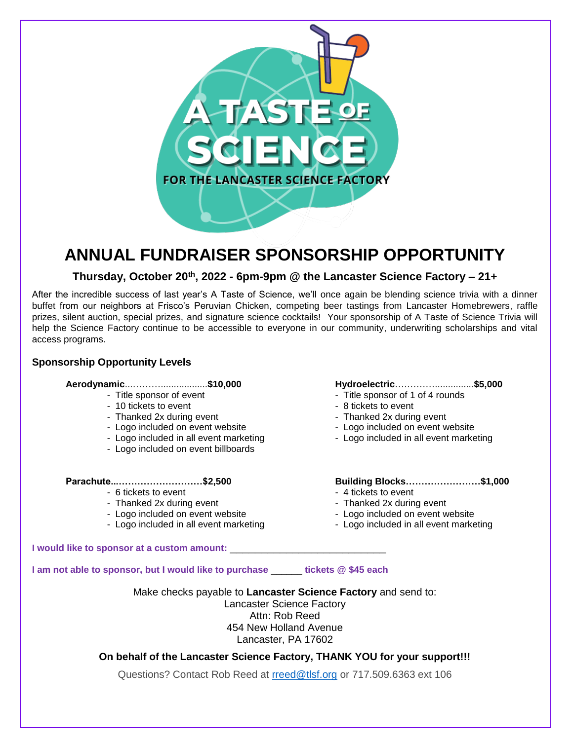

## **ANNUAL FUNDRAISER SPONSORSHIP OPPORTUNITY**

## **Thursday, October 20th , 2022 - 6pm-9pm @ the Lancaster Science Factory – 21+**

After the incredible success of last year's A Taste of Science, we'll once again be blending science trivia with a dinner buffet from our neighbors at Frisco's Peruvian Chicken, competing beer tastings from Lancaster Homebrewers, raffle prizes, silent auction, special prizes, and signature science cocktails! Your sponsorship of A Taste of Science Trivia will help the Science Factory continue to be accessible to everyone in our community, underwriting scholarships and vital access programs.

## **Sponsorship Opportunity Levels**

## **Aerodynamic**...………..................**\$10,000 Hydroelectric**….………...............**\$5,000**

- 
- 10 tickets to event
- 
- Logo included on event website Logo included on event website
- Logo included in all event marketing Logo included in all event marketing
- Logo included on event billboards

- 
- Logo included on event website<br>- Logo included on event website<br>- Logo included in all event marketing<br>- Logo included in all event marketing<br>- Logo included in all event marketing
- Logo included in all event marketing

- Title sponsor of event  $-$  Title sponsor of 1 of 4 rounds<br>- 10 tickets to event  $-$  8 tickets to event
	-
- Thanked 2x during event Thanked 2x during event
	-
	-

### **Parachute...………………………\$2,500 Building Blocks……………………\$1,000**

- 6 tickets to event  $-$  4 tickets to event
- Thanked 2x during event Thanked 2x during event
	-
	-

### **I would like to sponsor at a custom amount:** \_\_\_\_\_\_\_\_\_\_\_\_\_\_\_\_\_\_\_\_\_\_\_\_\_

**I am not able to sponsor, but I would like to purchase** \_\_\_\_\_\_ **tickets @ \$45 each**

Make checks payable to **Lancaster Science Factory** and send to:

Lancaster Science Factory Attn: Rob Reed 454 New Holland Avenue Lancaster, PA 17602

## **On behalf of the Lancaster Science Factory, THANK YOU for your support!!!**

Questions? Contact Rob Reed at [rreed@tlsf.org](mailto:rreed@tlsf.org) or 717.509.6363 ext 106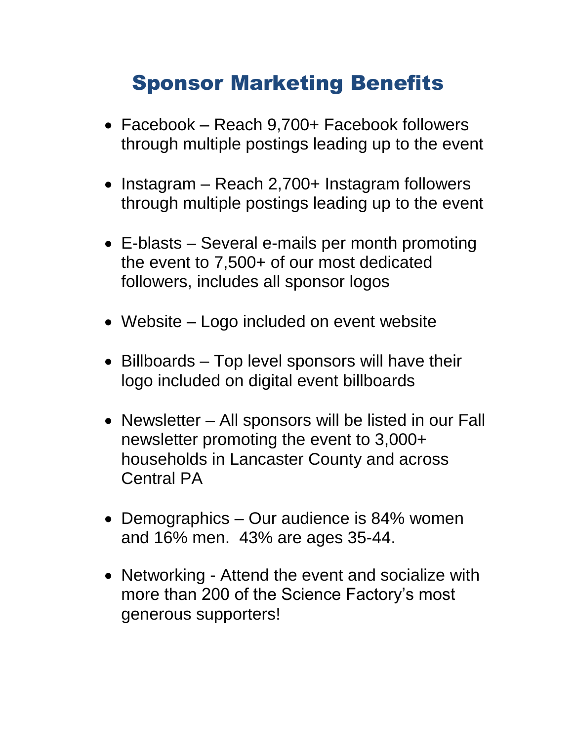## Sponsor Marketing Benefits

- Facebook Reach 9.700+ Facebook followers through multiple postings leading up to the event
- Instagram Reach 2,700+ Instagram followers through multiple postings leading up to the event
- E-blasts Several e-mails per month promoting the event to 7,500+ of our most dedicated followers, includes all sponsor logos
- Website Logo included on event website
- Billboards Top level sponsors will have their logo included on digital event billboards
- Newsletter All sponsors will be listed in our Fall newsletter promoting the event to 3,000+ households in Lancaster County and across Central PA
- Demographics Our audience is 84% women and 16% men. 43% are ages 35-44.
- Networking Attend the event and socialize with more than 200 of the Science Factory's most generous supporters!